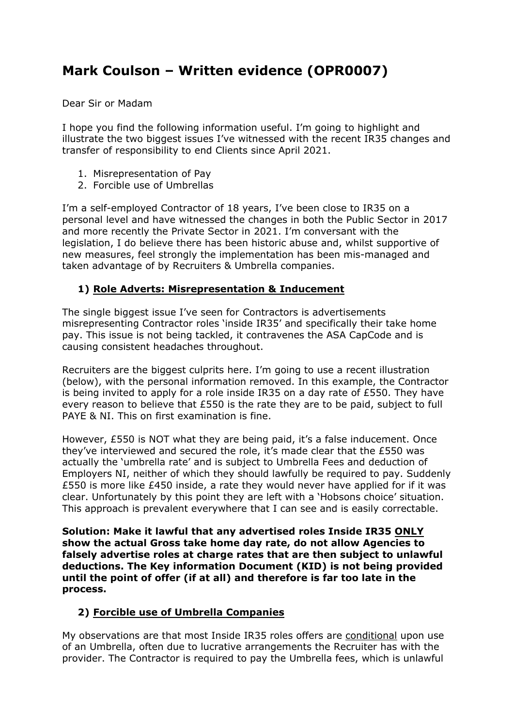## **Mark Coulson – Written evidence (OPR0007)**

Dear Sir or Madam

I hope you find the following information useful. I'm going to highlight and illustrate the two biggest issues I've witnessed with the recent IR35 changes and transfer of responsibility to end Clients since April 2021.

- 1. Misrepresentation of Pay
- 2. Forcible use of Umbrellas

I'm a self-employed Contractor of 18 years, I've been close to IR35 on a personal level and have witnessed the changes in both the Public Sector in 2017 and more recently the Private Sector in 2021. I'm conversant with the legislation, I do believe there has been historic abuse and, whilst supportive of new measures, feel strongly the implementation has been mis-managed and taken advantage of by Recruiters & Umbrella companies.

## **1) Role Adverts: Misrepresentation & Inducement**

The single biggest issue I've seen for Contractors is advertisements misrepresenting Contractor roles 'inside IR35' and specifically their take home pay. This issue is not being tackled, it contravenes the ASA CapCode and is causing consistent headaches throughout.

Recruiters are the biggest culprits here. I'm going to use a recent illustration (below), with the personal information removed. In this example, the Contractor is being invited to apply for a role inside IR35 on a day rate of £550. They have every reason to believe that £550 is the rate they are to be paid, subject to full PAYE & NI. This on first examination is fine.

However, £550 is NOT what they are being paid, it's a false inducement. Once they've interviewed and secured the role, it's made clear that the  $£550$  was actually the 'umbrella rate' and is subject to Umbrella Fees and deduction of Employers NI, neither of which they should lawfully be required to pay. Suddenly £550 is more like £450 inside, a rate they would never have applied for if it was clear. Unfortunately by this point they are left with a 'Hobsons choice' situation. This approach is prevalent everywhere that I can see and is easily correctable.

**Solution: Make it lawful that any advertised roles Inside IR35 ONLY show the actual Gross take home day rate, do not allow Agencies to falsely advertise roles at charge rates that are then subject to unlawful deductions. The Key information Document (KID) is not being provided until the point of offer (if at all) and therefore is far too late in the process.**

## **2) Forcible use of Umbrella Companies**

My observations are that most Inside IR35 roles offers are conditional upon use of an Umbrella, often due to lucrative arrangements the Recruiter has with the provider. The Contractor is required to pay the Umbrella fees, which is unlawful